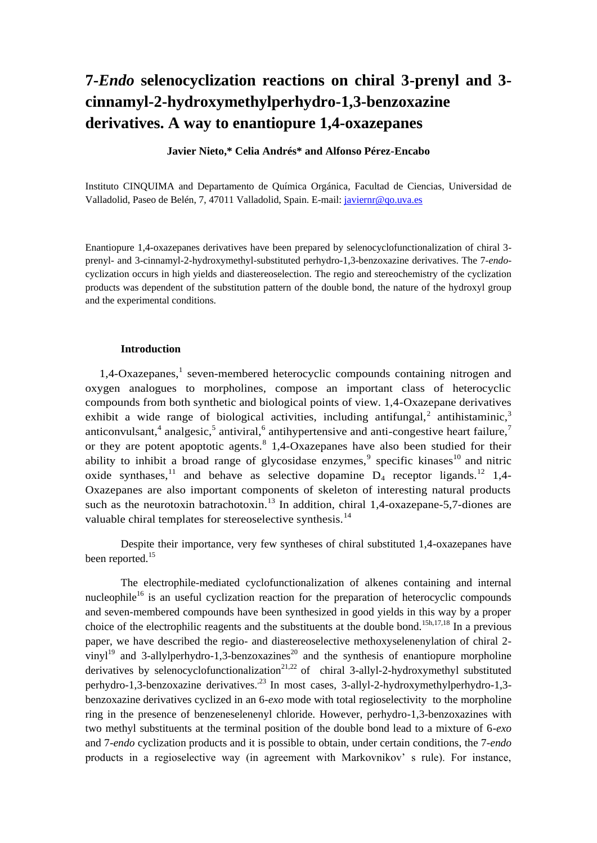# **7-***Endo* **selenocyclization reactions on chiral 3-prenyl and 3 cinnamyl-2-hydroxymethylperhydro-1,3-benzoxazine derivatives. A way to enantiopure 1,4-oxazepanes**

# **Javier Nieto,\* Celia Andrés\* and Alfonso Pérez-Encabo**

Instituto CINQUIMA and Departamento de Química Orgánica, Facultad de Ciencias, Universidad de Valladolid, Paseo de Belén, 7, 47011 Valladolid, Spain. E-mail: [javiernr@qo.uva.es](mailto:javiernr@qo.uva.es)

Enantiopure 1,4-oxazepanes derivatives have been prepared by selenocyclofunctionalization of chiral 3 prenyl- and 3-cinnamyl-2-hydroxymethyl-substituted perhydro-1,3-benzoxazine derivatives. The 7-*endo*cyclization occurs in high yields and diastereoselection. The regio and stereochemistry of the cyclization products was dependent of the substitution pattern of the double bond, the nature of the hydroxyl group and the experimental conditions.

# **Introduction**

1,4-Oxazepanes,<sup>1</sup> seven-membered heterocyclic compounds containing nitrogen and oxygen analogues to morpholines, compose an important class of heterocyclic compounds from both synthetic and biological points of view. 1,4-Oxazepane derivatives exhibit a wide range of biological activities, including antifungal,<sup>2</sup> antihistaminic,<sup>3</sup> anticonvulsant,<sup>4</sup> analgesic,<sup>5</sup> antiviral,<sup>6</sup> antihypertensive and anti-congestive heart failure,<sup>7</sup> or they are potent apoptotic agents.<sup>8</sup> 1,4-Oxazepanes have also been studied for their ability to inhibit a broad range of glycosidase enzymes,<sup>9</sup> specific kinases<sup>10</sup> and nitric oxide synthases,<sup>11</sup> and behave as selective dopamine  $D_4$  receptor ligands.<sup>12</sup> 1,4-Oxazepanes are also important components of skeleton of interesting natural products such as the neurotoxin batrachotoxin.<sup>13</sup> In addition, chiral 1,4-oxazepane-5,7-diones are valuable chiral templates for stereoselective synthesis.<sup>14</sup>

Despite their importance, very few syntheses of chiral substituted 1,4-oxazepanes have been reported.<sup>15</sup>

The electrophile-mediated cyclofunctionalization of alkenes containing and internal nucleophile<sup>16</sup> is an useful cyclization reaction for the preparation of heterocyclic compounds and seven-membered compounds have been synthesized in good yields in this way by a proper choice of the electrophilic reagents and the substituents at the double bond.<sup>15h,17,18</sup> In a previous paper, we have described the regio- and diastereoselective methoxyselenenylation of chiral 2 vinyl<sup>19</sup> and 3-allylperhydro-1,3-benzoxazines<sup>20</sup> and the synthesis of enantiopure morpholine derivatives by selenocyclofunctionalization<sup>21,22</sup> of chiral 3-allyl-2-hydroxymethyl substituted perhydro-1,3-benzoxazine derivatives.<sup>23</sup> In most cases, 3-allyl-2-hydroxymethylperhydro-1,3benzoxazine derivatives cyclized in an 6-*exo* mode with total regioselectivity to the morpholine ring in the presence of benzeneselenenyl chloride. However, perhydro-1,3-benzoxazines with two methyl substituents at the terminal position of the double bond lead to a mixture of 6-*exo* and 7-*endo* cyclization products and it is possible to obtain, under certain conditions, the 7-*endo* products in a regioselective way (in agreement with Markovnikov' s rule). For instance,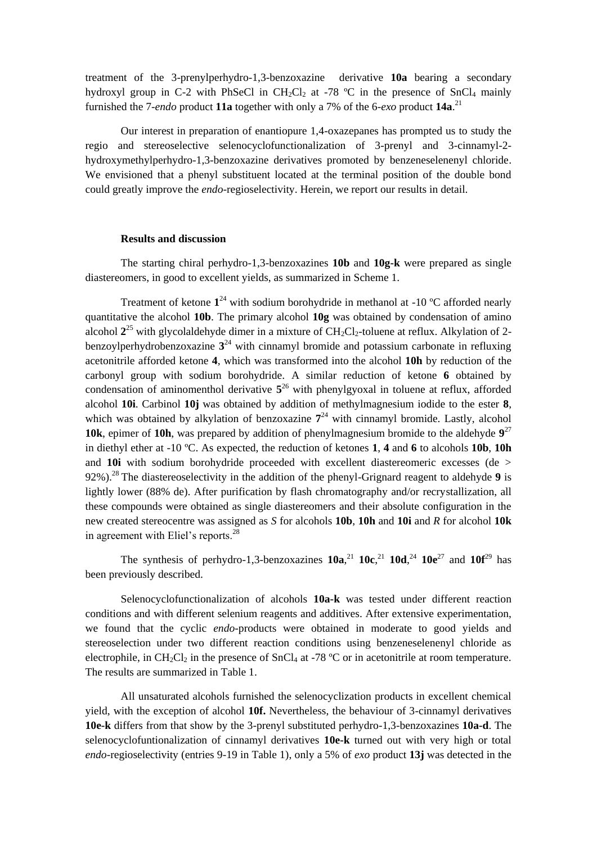treatment of the 3-prenylperhydro-1,3-benzoxazine derivative **10a** bearing a secondary hydroxyl group in C-2 with PhSeCl in CH<sub>2</sub>Cl<sub>2</sub> at -78  $^{\circ}$ C in the presence of SnCl<sub>4</sub> mainly furnished the 7-*endo* product **11a** together with only a 7% of the 6-*exo* product **14a**. 21

Our interest in preparation of enantiopure 1,4-oxazepanes has prompted us to study the regio and stereoselective selenocyclofunctionalization of 3-prenyl and 3-cinnamyl-2 hydroxymethylperhydro-1,3-benzoxazine derivatives promoted by benzeneselenenyl chloride. We envisioned that a phenyl substituent located at the terminal position of the double bond could greatly improve the *endo*-regioselectivity. Herein, we report our results in detail.

## **Results and discussion**

The starting chiral perhydro-1,3-benzoxazines **10b** and **10g-k** were prepared as single diastereomers, in good to excellent yields, as summarized in Scheme 1.

Treatment of ketone  $1^{24}$  with sodium borohydride in methanol at  $-10$  °C afforded nearly quantitative the alcohol **10b**. The primary alcohol **10g** was obtained by condensation of amino alcohol  $2^{25}$  with glycolaldehyde dimer in a mixture of  $CH_2Cl_2$ -toluene at reflux. Alkylation of 2benzoylperhydrobenzoxazine **3** <sup>24</sup> with cinnamyl bromide and potassium carbonate in refluxing acetonitrile afforded ketone **4**, which was transformed into the alcohol **10h** by reduction of the carbonyl group with sodium borohydride. A similar reduction of ketone **6** obtained by condensation of aminomenthol derivative  $5^{26}$  with phenylgyoxal in toluene at reflux, afforded alcohol **10i**. Carbinol **10j** was obtained by addition of methylmagnesium iodide to the ester **8**, which was obtained by alkylation of benzoxazine  $7<sup>24</sup>$  with cinnamyl bromide. Lastly, alcohol **10k**, epimer of **10h**, was prepared by addition of phenylmagnesium bromide to the aldehyde **9** 27 in diethyl ether at -10 ºC. As expected, the reduction of ketones **1**, **4** and **6** to alcohols **10b**, **10h** and **10i** with sodium borohydride proceeded with excellent diastereomeric excesses (de > 92%).<sup>28</sup>The diastereoselectivity in the addition of the phenyl-Grignard reagent to aldehyde **9** is lightly lower (88% de). After purification by flash chromatography and/or recrystallization, all these compounds were obtained as single diastereomers and their absolute configuration in the new created stereocentre was assigned as *S* for alcohols **10b**, **10h** and **10i** and *R* for alcohol **10k** in agreement with Eliel's reports.<sup>28</sup>

The synthesis of perhydro-1,3-benzoxazines  $10a$ ,<sup>21</sup>,  $10c$ ,<sup>21</sup>,  $10d$ ,<sup>24</sup>,  $10e^{27}$  and  $10f^{29}$  has been previously described.

Selenocyclofunctionalization of alcohols **10a-k** was tested under different reaction conditions and with different selenium reagents and additives. After extensive experimentation, we found that the cyclic *endo*-products were obtained in moderate to good yields and stereoselection under two different reaction conditions using benzeneselenenyl chloride as electrophile, in CH<sub>2</sub>Cl<sub>2</sub> in the presence of SnCl<sub>4</sub> at -78 °C or in acetonitrile at room temperature. The results are summarized in Table 1.

All unsaturated alcohols furnished the selenocyclization products in excellent chemical yield, with the exception of alcohol **10f.** Nevertheless, the behaviour of 3-cinnamyl derivatives **10e-k** differs from that show by the 3-prenyl substituted perhydro-1,3-benzoxazines **10a-d**. The selenocyclofuntionalization of cinnamyl derivatives **10e-k** turned out with very high or total *endo-*regioselectivity (entries 9-19 in Table 1), only a 5% of *exo* product **13j** was detected in the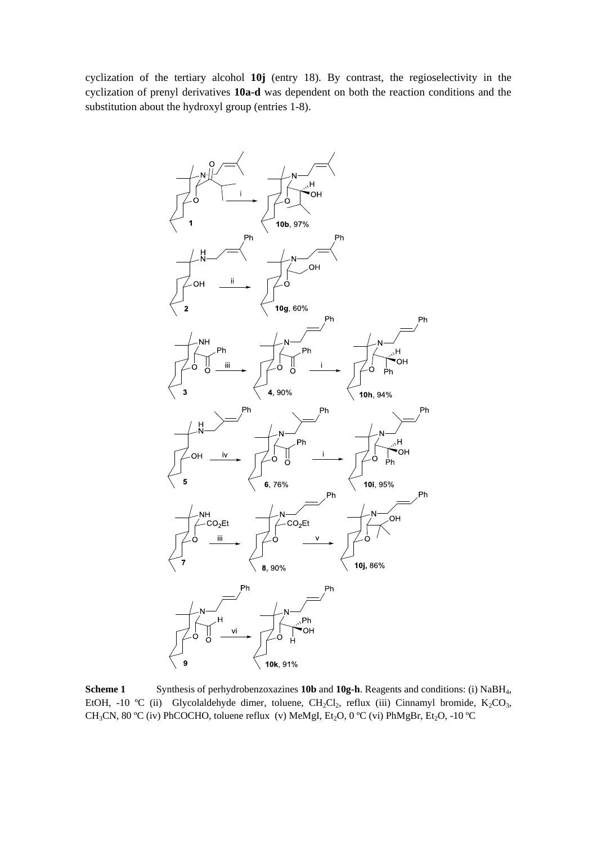cyclization of the tertiary alcohol **10j** (entry 18). By contrast, the regioselectivity in the cyclization of prenyl derivatives **10a-d** was dependent on both the reaction conditions and the substitution about the hydroxyl group (entries 1-8).



**Scheme 1** Synthesis of perhydrobenzoxazines **10b** and **10g-h**. Reagents and conditions: (i) NaBH<sub>4</sub>, EtOH, -10 °C (ii) Glycolaldehyde dimer, toluene, CH<sub>2</sub>Cl<sub>2</sub>, reflux (iii) Cinnamyl bromide, K<sub>2</sub>CO<sub>3</sub>, CH<sub>3</sub>CN, 80 °C (iv) PhCOCHO, toluene reflux (v) MeMgI, Et<sub>2</sub>O, 0 °C (vi) PhMgBr, Et<sub>2</sub>O, -10 °C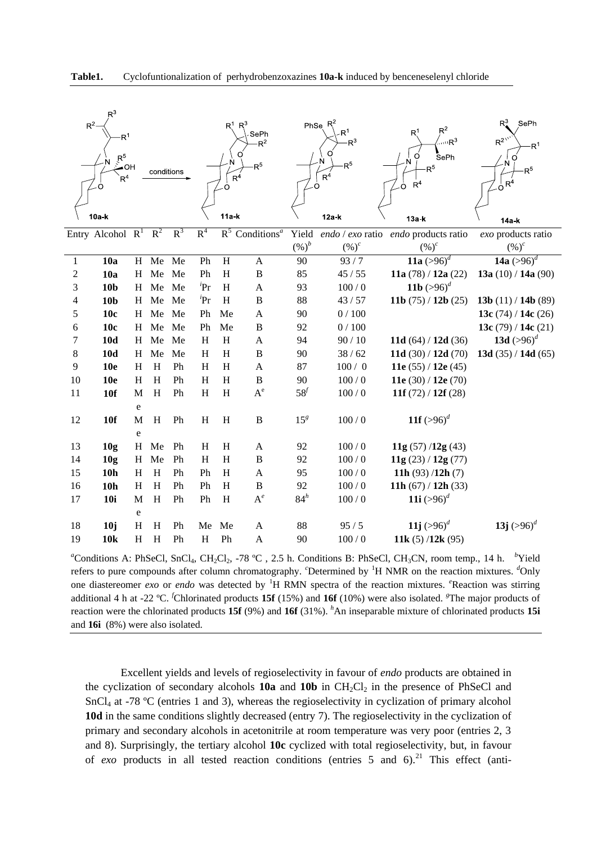

| $R^3$<br>$R^2$<br>R <sup>1</sup><br>R <sup>5</sup><br>⊱OH<br>conditions<br>R <sup>4</sup> |                           |                 |                           |       |                | $\mathsf{R}^1$<br>N<br>$R^4$<br>$\Omega$ | SePh<br>$R^2$<br>$\mathsf{R}^5$      | Ö               | PhSe $R^2$<br>R <sup>1</sup><br>$R^3$<br>R <sup>5</sup><br>$R^4$ | $R^2$<br>R <sup>1</sup><br>$\sqrt{R^3}$<br>SePh<br>O<br>R <sup>5</sup><br>R <sup>4</sup><br>Ō. | $R^3$<br>SePh<br>$R^{2^{n'}}$<br>$\mathsf{R}^1$<br>O<br>۰Ń<br>R <sup>5</sup><br>$\sigma$ <sup>4</sup> |
|-------------------------------------------------------------------------------------------|---------------------------|-----------------|---------------------------|-------|----------------|------------------------------------------|--------------------------------------|-----------------|------------------------------------------------------------------|------------------------------------------------------------------------------------------------|-------------------------------------------------------------------------------------------------------|
|                                                                                           | 10a k                     |                 |                           |       |                | $11a-k$                                  |                                      |                 | $12a-k$                                                          | 13a k                                                                                          | 14a-k                                                                                                 |
|                                                                                           | Entry Alcohol $R^1$ $R^2$ |                 |                           | $R^3$ | R <sup>4</sup> |                                          | $R^5$ Conditions <sup><i>a</i></sup> | Yield           | endo / exo ratio                                                 | endo products ratio                                                                            | exo products ratio                                                                                    |
|                                                                                           |                           |                 |                           |       |                |                                          |                                      | $(\%)^b$        | $(\%)^c$                                                         | $(\%)^c$                                                                                       | $(\%)^c$                                                                                              |
| $\mathbf{1}$                                                                              | 10a                       | H               | Me                        | Me    | Ph             | $\overline{H}$                           | $\mathbf{A}$                         | 90              | 93/7                                                             | 11a $(>\!96)^d$                                                                                | 14a $(>96)^d$                                                                                         |
| $\boldsymbol{2}$                                                                          | 10a                       | H               | Me                        | Me    | Ph             | H                                        | $\, {\bf B}$                         | 85              | 45/55                                                            | 11a (78) / 12a (22)                                                                            | 13a $(10) / 14a(90)$                                                                                  |
| 3                                                                                         | 10 <sub>b</sub>           | H               | Me                        | Me    | ${}^{i}Pr$     | H                                        | A                                    | 93              | 100/0                                                            | 11b $(>96)^d$                                                                                  |                                                                                                       |
| 4                                                                                         | 10 <sub>b</sub>           | H               | Me                        | Me    | ${}^{i}Pr$     | H                                        | B                                    | 88              | 43/57                                                            | 11b $(75)/12b(25)$                                                                             | 13b $(11) / 14b (89)$                                                                                 |
| 5                                                                                         | 10c                       | $H_{\parallel}$ | Me Me                     |       | Ph             | Me                                       | A                                    | 90              | 0/100                                                            |                                                                                                | 13c $(74) / 14c(26)$                                                                                  |
| 6                                                                                         | 10c                       | H               | Me                        | Me    | Ph             | Me                                       | $\, {\bf B}$                         | 92              | 0/100                                                            |                                                                                                | 13c $(79) / 14c(21)$                                                                                  |
| 7                                                                                         | 10d                       | H               | Me                        | Me    | H              | $\boldsymbol{\mathrm{H}}$                | A                                    | 94              | 90/10                                                            | 11d $(64) / 12d (36)$                                                                          | 13d $(>96)^d$                                                                                         |
| 8                                                                                         | <b>10d</b>                | H               | Me                        | Me    | H              | H                                        | $\, {\bf B}$                         | 90              | 38/62                                                            | 11d $(30) / 12d (70)$                                                                          | 13d $(35) / 14d (65)$                                                                                 |
| 9                                                                                         | <b>10e</b>                | H               | H                         | Ph    | H              | H                                        | $\mathbf{A}$                         | 87              | 100/0                                                            | 11e $(55) / 12e(45)$                                                                           |                                                                                                       |
| 10                                                                                        | <b>10e</b>                | H               | H                         | Ph    | H              | $\boldsymbol{\mathrm{H}}$                | $\, {\bf B}$                         | 90              | 100/0                                                            | 11e (30) / 12e (70)                                                                            |                                                                                                       |
| 11                                                                                        | <b>10f</b>                | M               | H                         | Ph    | H              | $\boldsymbol{\mathrm{H}}$                | $A^e$                                | 58 <sup>f</sup> | 100/0                                                            | 11f $(72) / 12f (28)$                                                                          |                                                                                                       |
|                                                                                           |                           | e               |                           |       |                |                                          |                                      |                 |                                                                  |                                                                                                |                                                                                                       |
| 12                                                                                        | 10f                       | M               | H                         | Ph    | H              | $H_{\rm}$                                | $\, {\bf B}$                         | 15 <sup>8</sup> | $100/0$                                                          | 11f $(>96)^d$                                                                                  |                                                                                                       |
|                                                                                           |                           | e               |                           |       |                |                                          |                                      |                 |                                                                  |                                                                                                |                                                                                                       |
| 13                                                                                        | 10 <sub>g</sub>           | H               | Me                        | Ph    | H              | H                                        | A                                    | 92              | 100/0                                                            | 11g $(57)$ /12g $(43)$                                                                         |                                                                                                       |
| 14                                                                                        | 10 <sub>g</sub>           | H               | Me                        | Ph    | H              | H                                        | $\bf{B}$                             | 92              | 100/0                                                            | 11g(23)/12g(77)                                                                                |                                                                                                       |
| 15                                                                                        | 10 <sub>h</sub>           | H               | $\boldsymbol{\mathrm{H}}$ | Ph    | Ph             | $H_{\rm}$                                | $\mathbf{A}$                         | 95              | $100/0$                                                          | 11h $(93) / 12h (7)$                                                                           |                                                                                                       |
| 16                                                                                        | 10 <sub>h</sub>           | H               | $\boldsymbol{\mathrm{H}}$ | Ph    | Ph             | H                                        | $\, {\bf B}$                         | 92              | 100/0                                                            | 11h $(67) / 12h (33)$                                                                          |                                                                                                       |
| 17                                                                                        | <b>10i</b>                | M               | H                         | Ph    | Ph             | H                                        | $\mathbf{A}^e$                       | $84^h$          | $100/0$                                                          | 11i $(>96)^d$                                                                                  |                                                                                                       |
|                                                                                           |                           | e               |                           |       |                |                                          |                                      |                 |                                                                  |                                                                                                |                                                                                                       |
| 18                                                                                        | 10j                       | H               | H                         | Ph    | Me             | Me                                       | A                                    | 88              | 95/5                                                             | 11j $(>96)^d$                                                                                  | 13j $(>96)^d$                                                                                         |
| 19                                                                                        | 10k                       | H               | H                         | Ph    | H              | Ph                                       | $\boldsymbol{A}$                     | 90              | 100/0                                                            | 11k $(5)/12k(95)$                                                                              |                                                                                                       |

<sup>*a*</sup>Conditions A: PhSeCl, SnCl<sub>4</sub>, CH<sub>2</sub>Cl<sub>2</sub>, -78 °C, 2.5 h. Conditions B: PhSeCl, CH<sub>3</sub>CN, room temp., 14 h. <sup>*b*</sup>Yield</sup> refers to pure compounds after column chromatography. <sup>*c*</sup>Determined by <sup>1</sup>H NMR on the reaction mixtures. <sup>*d*</sup>Only one diastereomer *exo* or *endo* was detected by <sup>1</sup>H RMN spectra of the reaction mixtures. <sup>*e*</sup>Reaction was stirring additional 4 h at -22 ºC. *<sup>f</sup>*Chlorinated products **15f** (15%) and **16f** (10%) were also isolated. *<sup>g</sup>*The major products of reaction were the chlorinated products **15f** (9%) and **16f** (31%). *<sup>h</sup>*An inseparable mixture of chlorinated products **15i** and **16i** (8%) were also isolated.

Excellent yields and levels of regioselectivity in favour of *endo* products are obtained in the cyclization of secondary alcohols  $10a$  and  $10b$  in  $CH_2Cl_2$  in the presence of PhSeCl and SnCl<sup>4</sup> at -78 ºC (entries 1 and 3), whereas the regioselectivity in cyclization of primary alcohol **10d** in the same conditions slightly decreased (entry 7). The regioselectivity in the cyclization of primary and secondary alcohols in acetonitrile at room temperature was very poor (entries 2, 3 and 8). Surprisingly, the tertiary alcohol **10c** cyclized with total regioselectivity, but, in favour of *exo* products in all tested reaction conditions (entries 5 and  $6$ ).<sup>21</sup> This effect (anti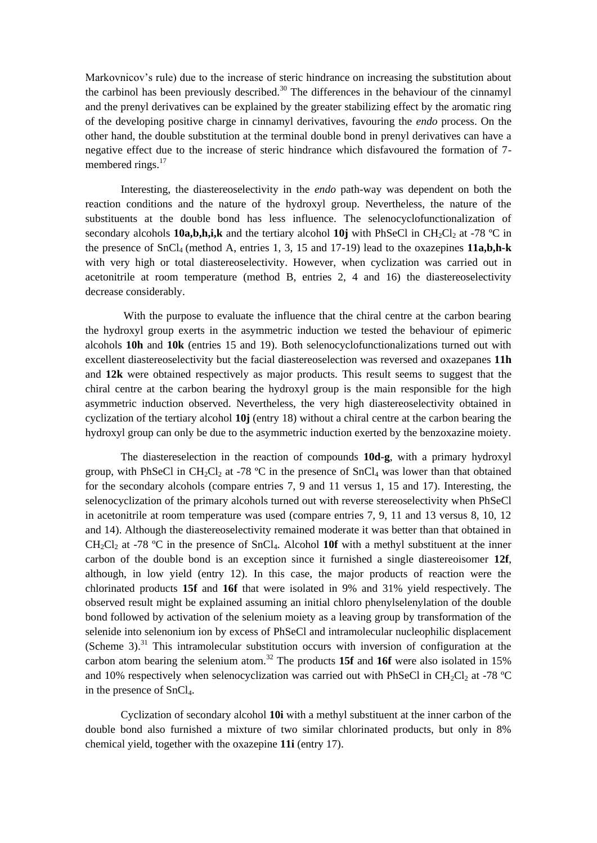Markovnicov's rule) due to the increase of steric hindrance on increasing the substitution about the carbinol has been previously described.<sup>30</sup> The differences in the behaviour of the cinnamyl and the prenyl derivatives can be explained by the greater stabilizing effect by the aromatic ring of the developing positive charge in cinnamyl derivatives, favouring the *endo* process. On the other hand, the double substitution at the terminal double bond in prenyl derivatives can have a negative effect due to the increase of steric hindrance which disfavoured the formation of 7 membered rings.<sup>17</sup>

Interesting, the diastereoselectivity in the *endo* path-way was dependent on both the reaction conditions and the nature of the hydroxyl group. Nevertheless, the nature of the substituents at the double bond has less influence. The selenocyclofunctionalization of secondary alcohols **10a,b,h,i,k** and the tertiary alcohol **10j** with PhSeCl in CH<sub>2</sub>Cl<sub>2</sub> at -78 °C in the presence of SnCl4 (method A, entries 1, 3, 15 and 17-19) lead to the oxazepines **11a,b,h-k** with very high or total diastereoselectivity. However, when cyclization was carried out in acetonitrile at room temperature (method B, entries 2, 4 and 16) the diastereoselectivity decrease considerably.

With the purpose to evaluate the influence that the chiral centre at the carbon bearing the hydroxyl group exerts in the asymmetric induction we tested the behaviour of epimeric alcohols **10h** and **10k** (entries 15 and 19). Both selenocyclofunctionalizations turned out with excellent diastereoselectivity but the facial diastereoselection was reversed and oxazepanes **11h** and **12k** were obtained respectively as major products. This result seems to suggest that the chiral centre at the carbon bearing the hydroxyl group is the main responsible for the high asymmetric induction observed. Nevertheless, the very high diastereoselectivity obtained in cyclization of the tertiary alcohol **10j** (entry 18) without a chiral centre at the carbon bearing the hydroxyl group can only be due to the asymmetric induction exerted by the benzoxazine moiety.

The diastereselection in the reaction of compounds **10d-g**, with a primary hydroxyl group, with PhSeCl in CH<sub>2</sub>Cl<sub>2</sub> at -78 °C in the presence of SnCl<sub>4</sub> was lower than that obtained for the secondary alcohols (compare entries 7, 9 and 11 versus 1, 15 and 17). Interesting, the selenocyclization of the primary alcohols turned out with reverse stereoselectivity when PhSeCl in acetonitrile at room temperature was used (compare entries 7, 9, 11 and 13 versus 8, 10, 12 and 14). Although the diastereoselectivity remained moderate it was better than that obtained in CH<sub>2</sub>Cl<sub>2</sub> at -78 °C in the presence of SnCl<sub>4</sub>. Alcohol **10f** with a methyl substituent at the inner carbon of the double bond is an exception since it furnished a single diastereoisomer **12f**, although, in low yield (entry 12). In this case, the major products of reaction were the chlorinated products **15f** and **16f** that were isolated in 9% and 31% yield respectively. The observed result might be explained assuming an initial chloro phenylselenylation of the double bond followed by activation of the selenium moiety as a leaving group by transformation of the selenide into selenonium ion by excess of PhSeCl and intramolecular nucleophilic displacement (Scheme 3).<sup>31</sup> This intramolecular substitution occurs with inversion of configuration at the carbon atom bearing the selenium atom.<sup>32</sup> The products **15f** and **16f** were also isolated in 15% and 10% respectively when selenocyclization was carried out with PhSeCl in CH<sub>2</sub>Cl<sub>2</sub> at -78 °C in the presence of SnCl<sub>4</sub>.

Cyclization of secondary alcohol **10i** with a methyl substituent at the inner carbon of the double bond also furnished a mixture of two similar chlorinated products, but only in 8% chemical yield, together with the oxazepine **11i** (entry 17).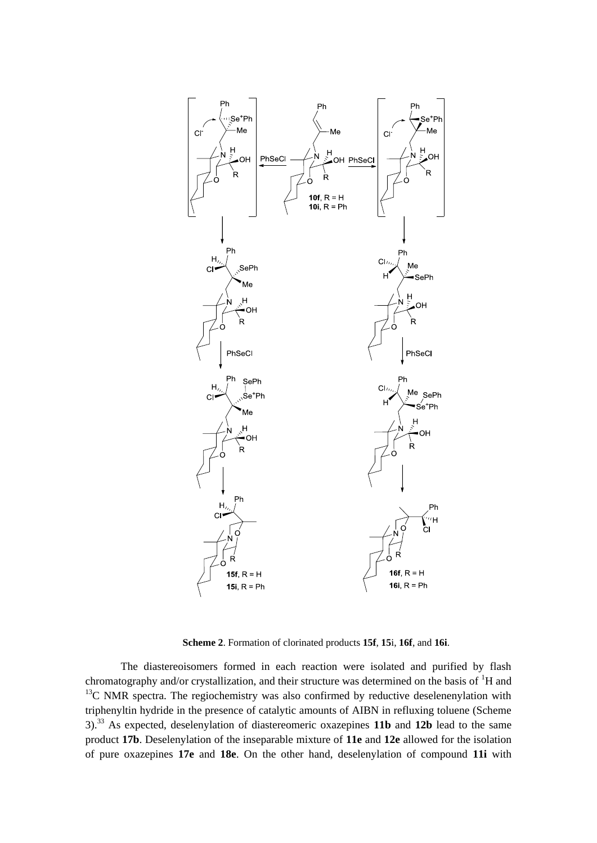

**Scheme 2**. Formation of clorinated products **15f**, **15**i, **16f**, and **16i**.

The diastereoisomers formed in each reaction were isolated and purified by flash chromatography and/or crystallization, and their structure was determined on the basis of  ${}^{1}H$  and  $13C$  NMR spectra. The regiochemistry was also confirmed by reductive deselenenylation with triphenyltin hydride in the presence of catalytic amounts of AIBN in refluxing toluene (Scheme 3).<sup>33</sup> As expected, deselenylation of diastereomeric oxazepines **11b** and **12b** lead to the same product **17b**. Deselenylation of the inseparable mixture of **11e** and **12e** allowed for the isolation of pure oxazepines **17e** and **18e**. On the other hand, deselenylation of compound **11i** with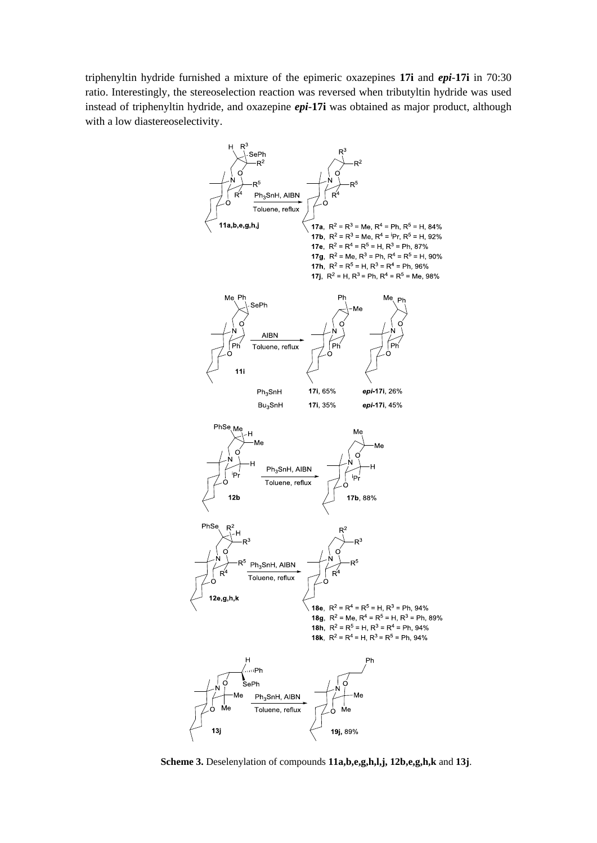triphenyltin hydride furnished a mixture of the epimeric oxazepines **17i** and *epi*-**17i** in 70:30 ratio. Interestingly, the stereoselection reaction was reversed when tributyltin hydride was used instead of triphenyltin hydride, and oxazepine *epi***-17i** was obtained as major product, although with a low diastereoselectivity.



**Scheme 3.** Deselenylation of compounds **11a,b,e,g,h,l,j, 12b,e,g,h,k** and **13j**.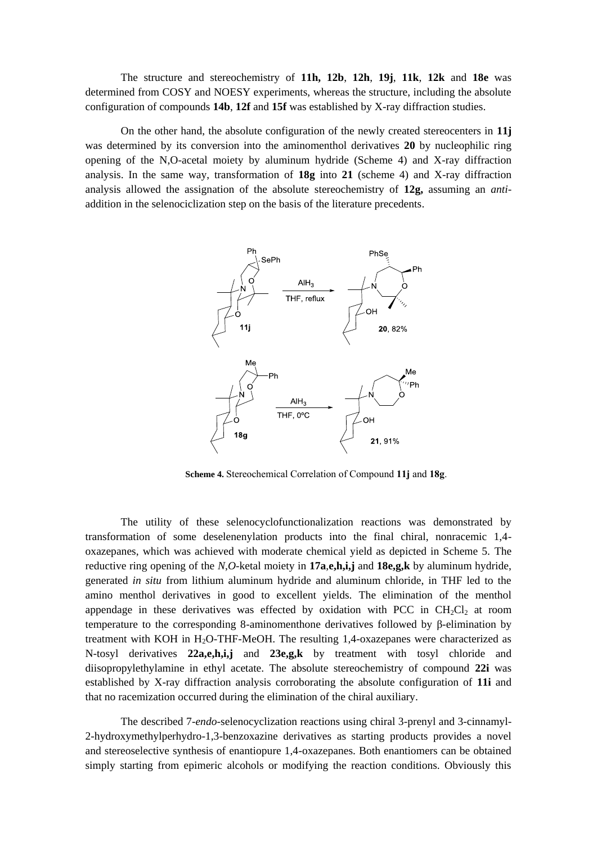The structure and stereochemistry of **11h, 12b**, **12h**, **19j**, **11k**, **12k** and **18e** was determined from COSY and NOESY experiments, whereas the structure, including the absolute configuration of compounds **14b**, **12f** and **15f** was established by X-ray diffraction studies.

On the other hand, the absolute configuration of the newly created stereocenters in **11j** was determined by its conversion into the aminomenthol derivatives **20** by nucleophilic ring opening of the N,O-acetal moiety by aluminum hydride (Scheme 4) and X-ray diffraction analysis. In the same way, transformation of **18g** into **21** (scheme 4) and X-ray diffraction analysis allowed the assignation of the absolute stereochemistry of **12g,** assuming an *anti*addition in the selenociclization step on the basis of the literature precedents.



**Scheme 4.** Stereochemical Correlation of Compound **11j** and **18g**.

The utility of these selenocyclofunctionalization reactions was demonstrated by transformation of some deselenenylation products into the final chiral, nonracemic 1,4 oxazepanes, which was achieved with moderate chemical yield as depicted in Scheme 5. The reductive ring opening of the *N*,*O*-ketal moiety in **17a**,**e,h,i,j** and **18e,g,k** by aluminum hydride, generated *in situ* from lithium aluminum hydride and aluminum chloride, in THF led to the amino menthol derivatives in good to excellent yields. The elimination of the menthol appendage in these derivatives was effected by oxidation with PCC in  $CH_2Cl_2$  at room temperature to the corresponding 8-aminomenthone derivatives followed by β-elimination by treatment with KOH in  $H_2O$ -THF-MeOH. The resulting 1,4-oxazepanes were characterized as N-tosyl derivatives **22a,e,h,i,j** and **23e,g,k** by treatment with tosyl chloride and diisopropylethylamine in ethyl acetate. The absolute stereochemistry of compound **22i** was established by X-ray diffraction analysis corroborating the absolute configuration of **11i** and that no racemization occurred during the elimination of the chiral auxiliary.

The described 7-*endo*-selenocyclization reactions using chiral 3-prenyl and 3-cinnamyl-2-hydroxymethylperhydro-1,3-benzoxazine derivatives as starting products provides a novel and stereoselective synthesis of enantiopure 1,4-oxazepanes. Both enantiomers can be obtained simply starting from epimeric alcohols or modifying the reaction conditions. Obviously this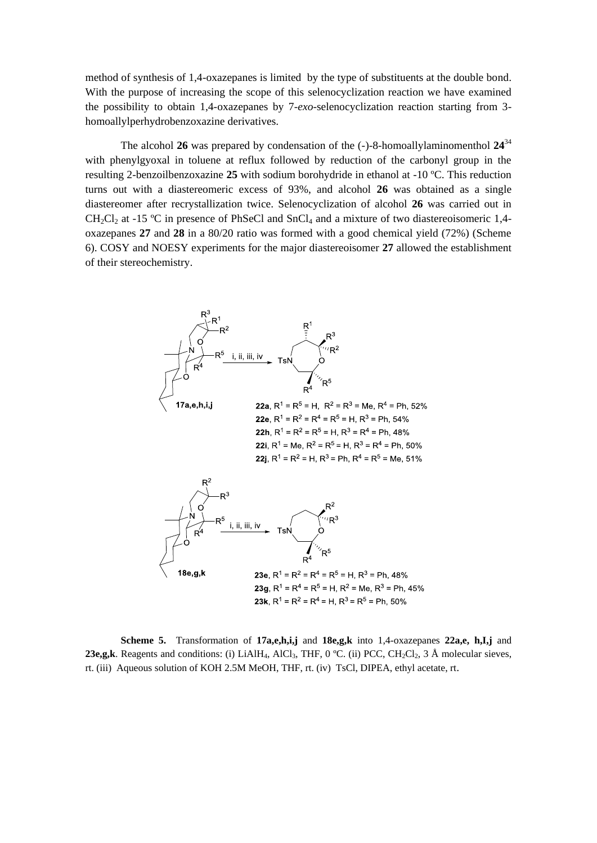method of synthesis of 1,4-oxazepanes is limited by the type of substituents at the double bond. With the purpose of increasing the scope of this selenocyclization reaction we have examined the possibility to obtain 1,4-oxazepanes by 7-*exo*-selenocyclization reaction starting from 3 homoallylperhydrobenzoxazine derivatives.

The alcohol 26 was prepared by condensation of the  $(-)$ -8-homoallylaminomenthol  $24^{34}$ with phenylgyoxal in toluene at reflux followed by reduction of the carbonyl group in the resulting 2-benzoilbenzoxazine **25** with sodium borohydride in ethanol at -10 ºC. This reduction turns out with a diastereomeric excess of 93%, and alcohol **26** was obtained as a single diastereomer after recrystallization twice. Selenocyclization of alcohol **26** was carried out in  $CH_2Cl_2$  at -15 °C in presence of PhSeCl and SnCl<sub>4</sub> and a mixture of two diastereoisomeric 1,4oxazepanes **27** and **28** in a 80/20 ratio was formed with a good chemical yield (72%) (Scheme 6). COSY and NOESY experiments for the major diastereoisomer **27** allowed the establishment of their stereochemistry.



**Scheme 5.** Transformation of **17a,e,h,i,j** and **18e,g,k** into 1,4-oxazepanes **22a,e, h,I,j** and **23e,g,k**. Reagents and conditions: (i) LiAlH<sub>4</sub>, AlCl<sub>3</sub>, THF, 0 °C. (ii) PCC, CH<sub>2</sub>Cl<sub>2</sub>, 3 Å molecular sieves, rt. (iii) Aqueous solution of KOH 2.5M MeOH, THF, rt. (iv) TsCl, DIPEA, ethyl acetate, rt.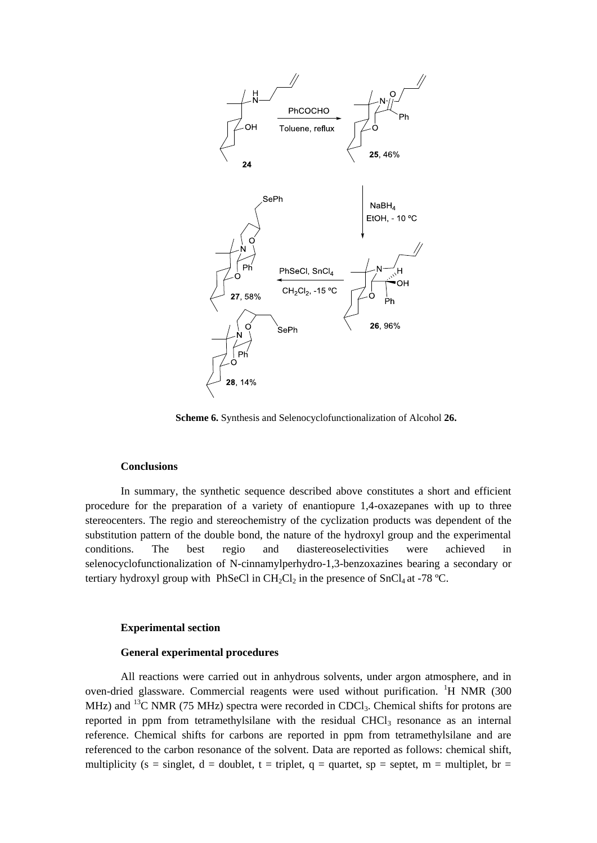

**Scheme 6.** Synthesis and Selenocyclofunctionalization of Alcohol **26.**

## **Conclusions**

In summary, the synthetic sequence described above constitutes a short and efficient procedure for the preparation of a variety of enantiopure 1,4-oxazepanes with up to three stereocenters. The regio and stereochemistry of the cyclization products was dependent of the substitution pattern of the double bond, the nature of the hydroxyl group and the experimental conditions. The best regio and diastereoselectivities were achieved in selenocyclofunctionalization of N-cinnamylperhydro-1,3-benzoxazines bearing a secondary or tertiary hydroxyl group with PhSeCl in  $CH_2Cl_2$  in the presence of SnCl<sub>4</sub> at -78 °C.

## **Experimental section**

# **General experimental procedures**

All reactions were carried out in anhydrous solvents, under argon atmosphere, and in oven-dried glassware. Commercial reagents were used without purification.  ${}^{1}H$  NMR (300) MHz) and <sup>13</sup>C NMR (75 MHz) spectra were recorded in CDCl<sub>3</sub>. Chemical shifts for protons are reported in ppm from tetramethylsilane with the residual CHCl<sub>3</sub> resonance as an internal reference. Chemical shifts for carbons are reported in ppm from tetramethylsilane and are referenced to the carbon resonance of the solvent. Data are reported as follows: chemical shift, multiplicity (s = singlet, d = doublet, t = triplet, q = quartet, sp = septet, m = multiplet, br =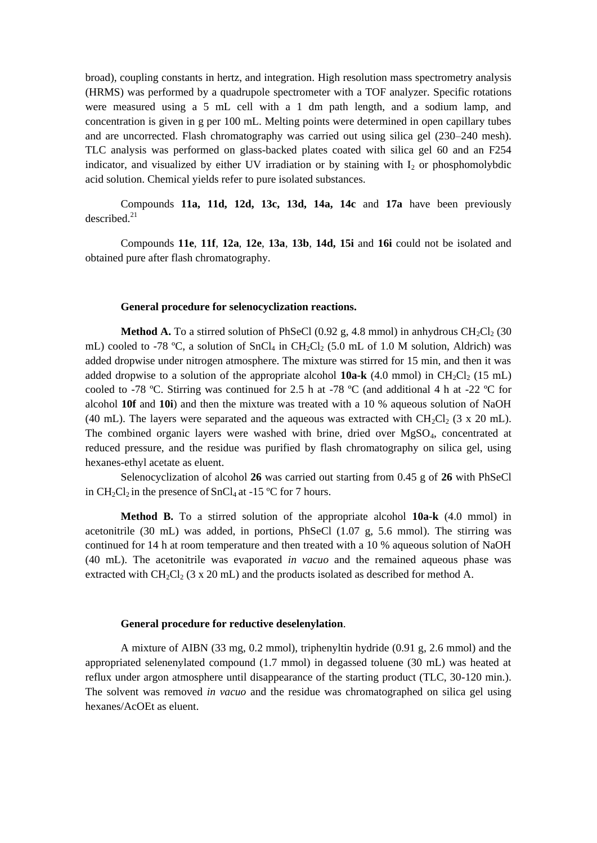broad), coupling constants in hertz, and integration. High resolution mass spectrometry analysis (HRMS) was performed by a quadrupole spectrometer with a TOF analyzer. Specific rotations were measured using a 5 mL cell with a 1 dm path length, and a sodium lamp, and concentration is given in g per 100 mL. Melting points were determined in open capillary tubes and are uncorrected. Flash chromatography was carried out using silica gel (230–240 mesh). TLC analysis was performed on glass-backed plates coated with silica gel 60 and an F254 indicator, and visualized by either UV irradiation or by staining with  $I_2$  or phosphomolybdic acid solution. Chemical yields refer to pure isolated substances.

Compounds **11a, 11d, 12d, 13c, 13d, 14a, 14c** and **17a** have been previously described.<sup>21</sup>

Compounds **11e**, **11f**, **12a**, **12e**, **13a**, **13b**, **14d, 15i** and **16i** could not be isolated and obtained pure after flash chromatography.

#### **General procedure for selenocyclization reactions.**

**Method A.** To a stirred solution of PhSeCl  $(0.92 \text{ g}, 4.8 \text{ mmol})$  in anhydrous CH<sub>2</sub>Cl<sub>2</sub> (30) mL) cooled to -78 °C, a solution of SnCl<sub>4</sub> in CH<sub>2</sub>Cl<sub>2</sub> (5.0 mL of 1.0 M solution, Aldrich) was added dropwise under nitrogen atmosphere. The mixture was stirred for 15 min, and then it was added dropwise to a solution of the appropriate alcohol **10a-k** (4.0 mmol) in CH<sub>2</sub>Cl<sub>2</sub> (15 mL) cooled to -78 °C. Stirring was continued for 2.5 h at -78 °C (and additional 4 h at -22 °C for alcohol **10f** and **10i**) and then the mixture was treated with a 10 % aqueous solution of NaOH (40 mL). The layers were separated and the aqueous was extracted with  $CH_2Cl_2$  (3 x 20 mL). The combined organic layers were washed with brine, dried over MgSO<sub>4</sub>, concentrated at reduced pressure, and the residue was purified by flash chromatography on silica gel, using hexanes-ethyl acetate as eluent.

Selenocyclization of alcohol **26** was carried out starting from 0.45 g of **26** with PhSeCl in CH<sub>2</sub>Cl<sub>2</sub> in the presence of SnCl<sub>4</sub> at -15 °C for 7 hours.

**Method B.** To a stirred solution of the appropriate alcohol **10a-k** (4.0 mmol) in acetonitrile (30 mL) was added, in portions, PhSeCl (1.07 g, 5.6 mmol). The stirring was continued for 14 h at room temperature and then treated with a 10 % aqueous solution of NaOH (40 mL). The acetonitrile was evaporated *in vacuo* and the remained aqueous phase was extracted with  $CH_2Cl_2$  (3 x 20 mL) and the products isolated as described for method A.

## **General procedure for reductive deselenylation**.

A mixture of AIBN (33 mg, 0.2 mmol), triphenyltin hydride (0.91 g, 2.6 mmol) and the appropriated selenenylated compound (1.7 mmol) in degassed toluene (30 mL) was heated at reflux under argon atmosphere until disappearance of the starting product (TLC, 30-120 min.). The solvent was removed *in vacuo* and the residue was chromatographed on silica gel using hexanes/AcOEt as eluent.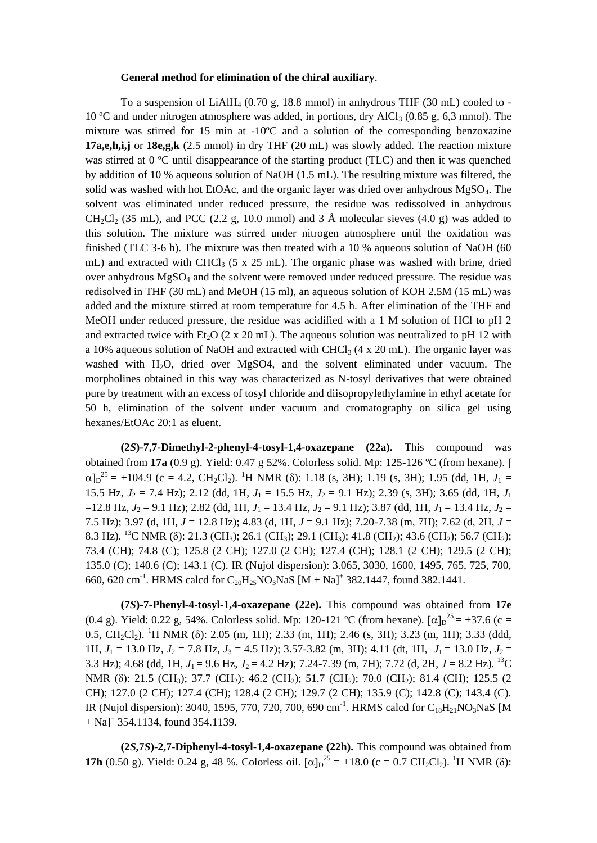# **General method for elimination of the chiral auxiliary**.

To a suspension of  $LiAlH<sub>4</sub>$  (0.70 g, 18.8 mmol) in anhydrous THF (30 mL) cooled to -10 °C and under nitrogen atmosphere was added, in portions, dry AlCl<sub>3</sub> (0.85 g, 6,3 mmol). The mixture was stirred for 15 min at  $-10^{\circ}$ C and a solution of the corresponding benzoxazine **17a,e,h,i,j** or **18e,g,k** (2.5 mmol) in dry THF (20 mL) was slowly added. The reaction mixture was stirred at 0 °C until disappearance of the starting product (TLC) and then it was quenched by addition of 10 % aqueous solution of NaOH (1.5 mL). The resulting mixture was filtered, the solid was washed with hot EtOAc, and the organic layer was dried over anhydrous MgSO4. The solvent was eliminated under reduced pressure, the residue was redissolved in anhydrous  $CH_2Cl_2$  (35 mL), and PCC (2.2 g, 10.0 mmol) and 3 Å molecular sieves (4.0 g) was added to this solution. The mixture was stirred under nitrogen atmosphere until the oxidation was finished (TLC 3-6 h). The mixture was then treated with a 10 % aqueous solution of NaOH (60 mL) and extracted with CHCl<sub>3</sub> (5 x 25 mL). The organic phase was washed with brine, dried over anhydrous MgSO<sup>4</sup> and the solvent were removed under reduced pressure. The residue was redisolved in THF (30 mL) and MeOH (15 ml), an aqueous solution of KOH 2.5M (15 mL) was added and the mixture stirred at room temperature for 4.5 h. After elimination of the THF and MeOH under reduced pressure, the residue was acidified with a 1 M solution of HCl to pH 2 and extracted twice with Et<sub>2</sub>O (2 x 20 mL). The aqueous solution was neutralized to pH 12 with a 10% aqueous solution of NaOH and extracted with CHCl<sub>3</sub> (4 x 20 mL). The organic layer was washed with H2O, dried over MgSO4, and the solvent eliminated under vacuum. The morpholines obtained in this way was characterized as N-tosyl derivatives that were obtained pure by treatment with an excess of tosyl chloride and diisopropylethylamine in ethyl acetate for 50 h, elimination of the solvent under vacuum and cromatography on silica gel using hexanes/EtOAc 20:1 as eluent.

**(2***S***)-7,7-Dimethyl-2-phenyl-4-tosyl-1,4-oxazepane (22a).** This compound was obtained from **17a** (0.9 g). Yield: 0.47 g 52%. Colorless solid. Mp: 125-126 ºC (from hexane).  $\alpha$ ]<sub>D</sub><sup>25</sup> = +104.9 (c = 4.2, CH<sub>2</sub>Cl<sub>2</sub>). <sup>1</sup>H NMR (δ): 1.18 (s, 3H); 1.19 (s, 3H); 1.95 (dd, 1H, *J*<sub>1</sub> = 15.5 Hz,  $J_2 = 7.4$  Hz); 2.12 (dd, 1H,  $J_1 = 15.5$  Hz,  $J_2 = 9.1$  Hz); 2.39 (s, 3H); 3.65 (dd, 1H,  $J_1$  $=12.8$  Hz,  $J_2 = 9.1$  Hz); 2.82 (dd, 1H,  $J_1 = 13.4$  Hz,  $J_2 = 9.1$  Hz); 3.87 (dd, 1H,  $J_1 = 13.4$  Hz,  $J_2 =$ 7.5 Hz); 3.97 (d, 1H, *J* = 12.8 Hz); 4.83 (d, 1H, *J* = 9.1 Hz); 7.20-7.38 (m, 7H); 7.62 (d, 2H, *J* = 8.3 Hz). <sup>13</sup>C NMR (δ): 21.3 (CH<sub>3</sub>); 26.1 (CH<sub>3</sub>); 29.1 (CH<sub>3</sub>); 41.8 (CH<sub>2</sub>); 43.6 (CH<sub>2</sub>); 56.7 (CH<sub>2</sub>); 73.4 (CH); 74.8 (C); 125.8 (2 CH); 127.0 (2 CH); 127.4 (CH); 128.1 (2 CH); 129.5 (2 CH); 135.0 (C); 140.6 (C); 143.1 (C). IR (Nujol dispersion): 3.065, 3030, 1600, 1495, 765, 725, 700, 660, 620 cm<sup>-1</sup>. HRMS calcd for C<sub>20</sub>H<sub>25</sub>NO<sub>3</sub>NaS [M + Na]<sup>+</sup> 382.1447, found 382.1441.

**(7***S***)-7-Phenyl-4-tosyl-1,4-oxazepane (22e).** This compound was obtained from **17e**  (0.4 g). Yield: 0.22 g, 54%. Colorless solid. Mp: 120-121 °C (from hexane).  $[\alpha]_D^{25} = +37.6$  (c = 0.5,  $CH_2Cl_2$ ). <sup>1</sup>H NMR (δ): 2.05 (m, 1H); 2.33 (m, 1H); 2.46 (s, 3H); 3.23 (m, 1H); 3.33 (ddd, 1H,  $J_1 = 13.0$  Hz,  $J_2 = 7.8$  Hz,  $J_3 = 4.5$  Hz); 3.57-3.82 (m, 3H); 4.11 (dt, 1H,  $J_1 = 13.0$  Hz,  $J_2 =$ 3.3 Hz); 4.68 (dd, 1H,  $J_1 = 9.6$  Hz,  $J_2 = 4.2$  Hz); 7.24-7.39 (m, 7H); 7.72 (d, 2H,  $J = 8.2$  Hz). <sup>13</sup>C NMR (δ): 21.5 (CH<sub>3</sub>); 37.7 (CH<sub>2</sub>); 46.2 (CH<sub>2</sub>); 51.7 (CH<sub>2</sub>); 70.0 (CH<sub>2</sub>); 81.4 (CH); 125.5 (2 CH); 127.0 (2 CH); 127.4 (CH); 128.4 (2 CH); 129.7 (2 CH); 135.9 (C); 142.8 (C); 143.4 (C). IR (Nujol dispersion): 3040, 1595, 770, 720, 700, 690 cm<sup>-1</sup>. HRMS calcd for C<sub>18</sub>H<sub>21</sub>NO<sub>3</sub>NaS [M  $+$  Na]<sup>+</sup> 354.1134, found 354.1139.

**(2***S***,7***S***)-2,7-Diphenyl-4-tosyl-1,4-oxazepane (22h).** This compound was obtained from **17h** (0.50 g). Yield: 0.24 g, 48 %. Colorless oil.  $[\alpha]_D^{25} = +18.0$  (c = 0.7 CH<sub>2</sub>Cl<sub>2</sub>). <sup>1</sup>H NMR ( $\delta$ ):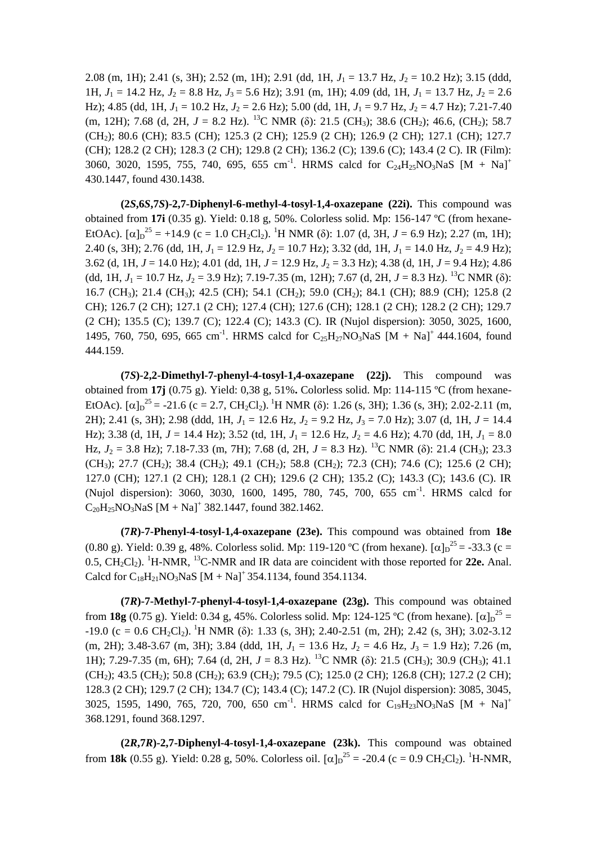2.08 (m, 1H); 2.41 (s, 3H); 2.52 (m, 1H); 2.91 (dd, 1H,  $J_1 = 13.7$  Hz,  $J_2 = 10.2$  Hz); 3.15 (ddd, 1H,  $J_1 = 14.2$  Hz,  $J_2 = 8.8$  Hz,  $J_3 = 5.6$  Hz); 3.91 (m, 1H); 4.09 (dd, 1H,  $J_1 = 13.7$  Hz,  $J_2 = 2.6$ Hz); 4.85 (dd, 1H,  $J_1 = 10.2$  Hz,  $J_2 = 2.6$  Hz); 5.00 (dd, 1H,  $J_1 = 9.7$  Hz,  $J_2 = 4.7$  Hz); 7.21-7.40 (m, 12H); 7.68 (d, 2H,  $J = 8.2$  Hz). <sup>13</sup>C NMR (δ): 21.5 (CH<sub>3</sub>); 38.6 (CH<sub>2</sub>); 46.6, (CH<sub>2</sub>); 58.7 (CH2); 80.6 (CH); 83.5 (CH); 125.3 (2 CH); 125.9 (2 CH); 126.9 (2 CH); 127.1 (CH); 127.7 (CH); 128.2 (2 CH); 128.3 (2 CH); 129.8 (2 CH); 136.2 (C); 139.6 (C); 143.4 (2 C). IR (Film): 3060, 3020, 1595, 755, 740, 695, 655 cm<sup>-1</sup>. HRMS calcd for C<sub>24</sub>H<sub>25</sub>NO<sub>3</sub>NaS [M + Na]<sup>+</sup> 430.1447, found 430.1438.

**(2***S***,6***S***,7***S***)-2,7-Diphenyl-6-methyl-4-tosyl-1,4-oxazepane (22i).** This compound was obtained from **17i** (0.35 g). Yield: 0.18 g, 50%. Colorless solid. Mp: 156-147 ºC (from hexane-EtOAc).  $[\alpha]_D^{25} = +14.9$  (c = 1.0 CH<sub>2</sub>Cl<sub>2</sub>). <sup>1</sup>H NMR ( $\delta$ ): 1.07 (d, 3H, *J* = 6.9 Hz); 2.27 (m, 1H); 2.40 (s, 3H); 2.76 (dd, 1H,  $J_1 = 12.9$  Hz,  $J_2 = 10.7$  Hz); 3.32 (dd, 1H,  $J_1 = 14.0$  Hz,  $J_2 = 4.9$  Hz); 3.62 (d, 1H,  $J = 14.0$  Hz); 4.01 (dd, 1H,  $J = 12.9$  Hz,  $J_2 = 3.3$  Hz); 4.38 (d, 1H,  $J = 9.4$  Hz); 4.86 (dd, 1H,  $J_1 = 10.7$  Hz,  $J_2 = 3.9$  Hz); 7.19-7.35 (m, 12H); 7.67 (d, 2H,  $J = 8.3$  Hz). <sup>13</sup>C NMR ( $\delta$ ): 16.7 (CH<sub>3</sub>); 21.4 (CH<sub>3</sub>); 42.5 (CH); 54.1 (CH<sub>2</sub>); 59.0 (CH<sub>2</sub>); 84.1 (CH); 88.9 (CH); 125.8 (2 CH); 126.7 (2 CH); 127.1 (2 CH); 127.4 (CH); 127.6 (CH); 128.1 (2 CH); 128.2 (2 CH); 129.7 (2 CH); 135.5 (C); 139.7 (C); 122.4 (C); 143.3 (C). IR (Nujol dispersion): 3050, 3025, 1600, 1495, 760, 750, 695, 665 cm<sup>-1</sup>. HRMS calcd for C<sub>25</sub>H<sub>27</sub>NO<sub>3</sub>NaS [M + Na]<sup>+</sup> 444.1604, found 444.159.

**(7***S***)-2,2-Dimethyl-7-phenyl-4-tosyl-1,4-oxazepane (22j).** This compound was obtained from **17j** (0.75 g). Yield: 0,38 g, 51%**.** Colorless solid. Mp: 114-115 ºC (from hexane-EtOAc).  $[\alpha]_D^{25} = -21.6$  (c = 2.7, CH<sub>2</sub>Cl<sub>2</sub>). <sup>1</sup>H NMR ( $\delta$ ): 1.26 (s, 3H); 1.36 (s, 3H); 2.02-2.11 (m, 2H); 2.41 (s, 3H); 2.98 (ddd, 1H, *J*<sup>1</sup> = 12.6 Hz, *J*<sup>2</sup> = 9.2 Hz, *J*<sup>3</sup> = 7.0 Hz); 3.07 (d, 1H, *J* = 14.4 Hz); 3.38 (d, 1H,  $J = 14.4$  Hz); 3.52 (td, 1H,  $J_1 = 12.6$  Hz,  $J_2 = 4.6$  Hz); 4.70 (dd, 1H,  $J_1 = 8.0$ Hz,  $J_2 = 3.8$  Hz); 7.18-7.33 (m, 7H); 7.68 (d, 2H,  $J = 8.3$  Hz). <sup>13</sup>C NMR ( $\delta$ ): 21.4 (CH<sub>3</sub>); 23.3 (CH<sub>3</sub>); 27.7 (CH<sub>2</sub>); 38.4 (CH<sub>2</sub>); 49.1 (CH<sub>2</sub>); 58.8 (CH<sub>2</sub>); 72.3 (CH); 74.6 (C); 125.6 (2 CH); 127.0 (CH); 127.1 (2 CH); 128.1 (2 CH); 129.6 (2 CH); 135.2 (C); 143.3 (C); 143.6 (C). IR (Nujol dispersion): 3060, 3030, 1600, 1495, 780, 745, 700, 655 cm<sup>-1</sup>. HRMS calcd for  $C_{20}H_{25}NO_3NaS [M + Na]<sup>+</sup> 382.1447$ , found 382.1462.

**(7***R***)-7-Phenyl-4-tosyl-1,4-oxazepane (23e).** This compound was obtained from **18e**  (0.80 g). Yield: 0.39 g, 48%. Colorless solid. Mp: 119-120 °C (from hexane).  $[\alpha]_D^{25} = -33.3$  (c =  $0.5$ ,  $CH_2Cl_2$ ). <sup>1</sup>H-NMR, <sup>13</sup>C-NMR and IR data are coincident with those reported for **22e.** Anal. Calcd for  $C_{18}H_{21}NO_3NaS$  [M + Na]<sup>+</sup> 354.1134, found 354.1134.

**(7***R***)-7-Methyl-7-phenyl-4-tosyl-1,4-oxazepane (23g).** This compound was obtained from **18g** (0.75 g). Yield: 0.34 g, 45%. Colorless solid. Mp: 124-125 °C (from hexane).  $[\alpha]_D^{25} =$  $-19.0$  (c = 0.6 CH<sub>2</sub>Cl<sub>2</sub>). <sup>1</sup>H NMR (δ): 1.33 (s, 3H); 2.40-2.51 (m, 2H); 2.42 (s, 3H); 3.02-3.12 (m, 2H); 3.48-3.67 (m, 3H); 3.84 (ddd, 1H,  $J_1 = 13.6$  Hz,  $J_2 = 4.6$  Hz,  $J_3 = 1.9$  Hz); 7.26 (m, 1H); 7.29-7.35 (m, 6H); 7.64 (d, 2H,  $J = 8.3$  Hz). <sup>13</sup>C NMR ( $\delta$ ): 21.5 (CH<sub>3</sub>); 30.9 (CH<sub>3</sub>); 41.1 (CH<sub>2</sub>); 43.5 (CH<sub>2</sub>); 50.8 (CH<sub>2</sub>); 63.9 (CH<sub>2</sub>); 79.5 (C); 125.0 (2 CH); 126.8 (CH); 127.2 (2 CH); 128.3 (2 CH); 129.7 (2 CH); 134.7 (C); 143.4 (C); 147.2 (C). IR (Nujol dispersion): 3085, 3045, 3025, 1595, 1490, 765, 720, 700, 650 cm<sup>-1</sup>. HRMS calcd for C<sub>19</sub>H<sub>23</sub>NO<sub>3</sub>NaS [M + Na]<sup>+</sup> 368.1291, found 368.1297.

**(2***R***,7***R***)-2,7-Diphenyl-4-tosyl-1,4-oxazepane (23k).** This compound was obtained from **18k** (0.55 g). Yield: 0.28 g, 50%. Colorless oil.  $[\alpha]_D^{25} = -20.4$  (c = 0.9 CH<sub>2</sub>Cl<sub>2</sub>). <sup>1</sup>H-NMR,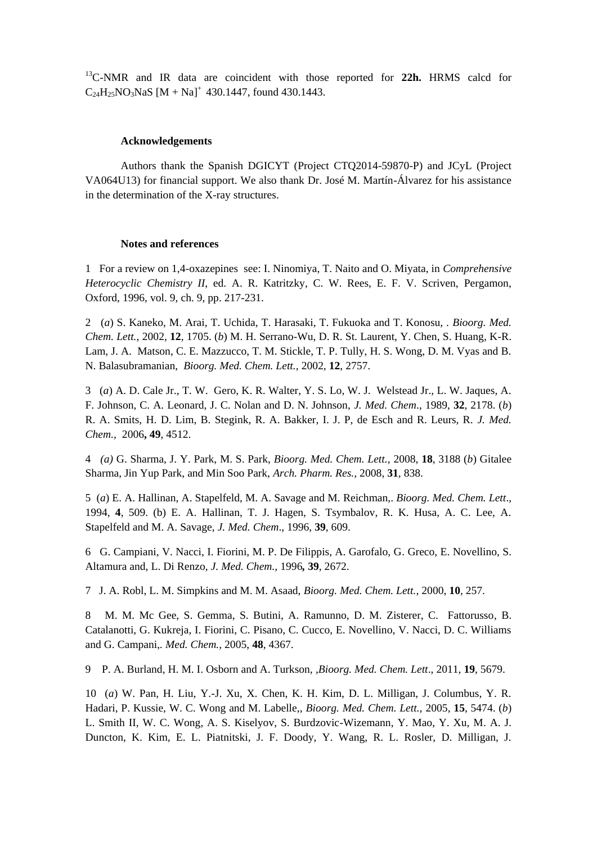<sup>13</sup>C-NMR and IR data are coincident with those reported for **22h.** HRMS calcd for  $C_{24}H_{25}NO_3NaS [M + Na]<sup>+</sup> 430.1447$ , found 430.1443.

## **Acknowledgements**

Authors thank the Spanish DGICYT (Project CTQ2014-59870-P) and JCyL (Project VA064U13) for financial support. We also thank Dr. José M. Martín-Álvarez for his assistance in the determination of the X-ray structures.

#### **Notes and references**

1 For a review on 1,4-oxazepines see: I. Ninomiya, T. Naito and O. Miyata, in *Comprehensive Heterocyclic Chemistry II*, ed. A. R. Katritzky, C. W. Rees, E. F. V. Scriven, Pergamon, Oxford, 1996, vol. 9, ch. 9, pp. 217-231.

2 (*a*) S. Kaneko, M. Arai, T. Uchida, T. Harasaki, T. Fukuoka and T. Konosu, . *Bioorg. Med. Chem. Lett.,* 2002, **12**, 1705. (*b*) M. H. Serrano-Wu, D. R. St. Laurent, Y. Chen, S. Huang, K-R. Lam, J. A. Matson, C. E. Mazzucco, T. M. Stickle, T. P. Tully, H. S. Wong, D. M. Vyas and B. N. Balasubramanian, *Bioorg. Med. Chem. Lett.,* 2002, **12**, 2757.

3 (*a*) A. D. Cale Jr., T. W. Gero, K. R. Walter, Y. S. Lo, W. J. Welstead Jr., L. W. Jaques, A. F. Johnson, C. A. Leonard, J. C. Nolan and D. N. Johnson, *J. Med. Chem*., 1989, **32**, 2178. (*b*) R. A. Smits, H. D. Lim, B. Stegink, R. A. Bakker, I. J. P, de Esch and R. Leurs, R. *J. Med. Chem.,* 2006**, 49**, 4512.

4 *(a)* G. Sharma, J. Y. Park, M. S. Park, *Bioorg. Med. Chem. Lett.,* 2008, **18**, 3188 (*b*) Gitalee Sharma, Jin Yup Park, and Min Soo Park, *Arch. Pharm. Res.,* 2008, **31***,* 838.

5 (*a*) E. A. Hallinan, A. Stapelfeld, M. A. Savage and M. Reichman,. *Bioorg. Med. Chem. Lett*., 1994, **4**, 509. (b) E. A. Hallinan, T. J. Hagen, S. Tsymbalov, R. K. Husa, A. C. Lee, A. Stapelfeld and M. A. Savage, *J. Med. Chem*., 1996, **39**, 609.

6 G. Campiani, V. Nacci, I. Fiorini, M. P. De Filippis, A. Garofalo, G. Greco, E. Novellino, S. Altamura and, L. Di Renzo, *J. Med. Chem.,* 1996*,* **39**, 2672.

7 J. A. Robl, L. M. Simpkins and M. M. Asaad, *Bioorg. Med. Chem. Lett.,* 2000, **10**, 257.

8 M. M. Mc Gee, S. Gemma, S. Butini, A. Ramunno, D. M. Zisterer, C. Fattorusso, B. Catalanotti, G. Kukreja, I. Fiorini, C. Pisano, C. Cucco, E. Novellino, V. Nacci, D. C. Williams and G. Campani,*. Med. Chem.,* 2005, **48**, 4367.

9 P. A. Burland, H. M. I. Osborn and A. Turkson, ,*Bioorg. Med. Chem. Lett*., 2011, **19**, 5679.

10 (*a*) W. Pan, H. Liu, Y.-J. Xu, X. Chen, K. H. Kim, D. L. Milligan, J. Columbus, Y. R. Hadari, P. Kussie, W. C. Wong and M. Labelle,, *Bioorg. Med. Chem. Lett.,* 2005, **15**, 5474. (*b*) L. Smith II, W. C. Wong, A. S. Kiselyov, S. Burdzovic-Wizemann, Y. Mao, Y. Xu, M. A. J. Duncton, K. Kim, E. L. Piatnitski, J. F. Doody, Y. Wang, R. L. Rosler, D. Milligan, J.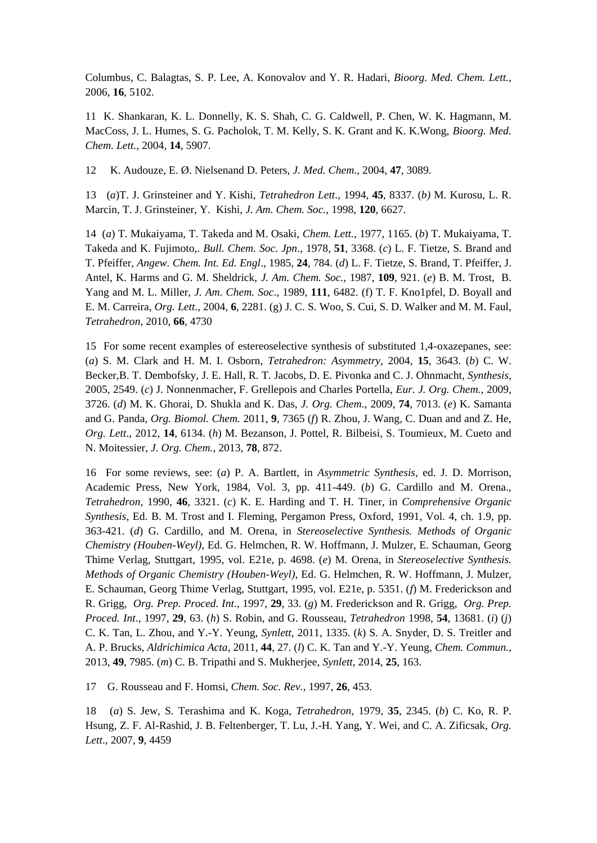Columbus, C. Balagtas, S. P. Lee, A. Konovalov and Y. R. Hadari, *Bioorg. Med. Chem. Lett.,* 2006, **16**, 5102.

11 K. Shankaran, K. L. Donnelly, K. S. Shah, C. G. Caldwell, P. Chen, W. K. Hagmann, M. MacCoss, J. L. Humes, S. G. Pacholok, T. M. Kelly, S. K. Grant and K. K.Wong, *Bioorg. Med. Chem. Lett.,* 2004, **14**, 5907.

12 K. Audouze, E. Ø. Nielsenand D. Peters, *J. Med. Chem*., 2004, **47**, 3089.

13 (*a*)T. J. Grinsteiner and Y. Kishi, *Tetrahedron Lett*., 1994, **45**, 8337. (*b)* M. Kurosu, L. R. Marcin, T. J. Grinsteiner, Y. Kishi, *J. Am. Chem. Soc.,* 1998, **120**, 6627.

14 (*a*) T. Mukaiyama, T. Takeda and M. Osaki, *Chem. Lett.,* 1977, 1165. (*b*) T. Mukaiyama, T. Takeda and K. Fujimoto,. *Bull. Chem. Soc. Jpn*., 1978, **51**, 3368. (*c*) L. F. Tietze, S. Brand and T. Pfeiffer, *Angew. Chem. Int. Ed. Engl*., 1985, **24**, 784. (*d*) L. F. Tietze, S. Brand, T. Pfeiffer, J. Antel, K. Harms and G. M. Sheldrick, *J. Am. Chem. Soc.,* 1987, **109**, 921. (*e*) B. M. Trost, B. Yang and M. L. Miller, *J. Am. Chem. Soc*., 1989, **111**, 6482. (f) T. F. Kno1pfel, D. Boyall and E. M. Carreira, *Org. Lett*., 2004, **6**, 2281. (g) J. C. S. Woo, S. Cui, S. D. Walker and M. M. Faul, *Tetrahedron*, 2010, **66**, 4730

15 For some recent examples of estereoselective synthesis of substituted 1,4-oxazepanes, see: (*a*) S. M. Clark and H. M. I. Osborn, *Tetrahedron: Asymmetry,* 2004, **15**, 3643. (*b*) C. W. Becker,B. T. Dembofsky, J. E. Hall, R. T. Jacobs, D. E. Pivonka and C. J. Ohnmacht, *Synthesis*, 2005, 2549. (*c*) J. Nonnenmacher, F. Grellepois and Charles Portella, *Eur. J. Org. Chem.,* 2009, 3726. (*d*) M. K. Ghorai, D. Shukla and K. Das, *J. Org. Chem*., 2009, **74**, 7013. (*e*) K. Samanta and G. Panda, *Org. Biomol. Chem.* 2011, **9**, 7365 (*f*) R. Zhou, J. Wang, C. Duan and and Z. He, *Org. Lett*., 2012, **14**, 6134. (*h*) M. Bezanson, J. Pottel, R. Bilbeisi, S. Toumieux, M. Cueto and N. Moitessier, *J. Org. Chem.*, 2013, **78**, 872.

16 For some reviews, see: (*a*) P. A. Bartlett, in *Asymmetric Synthesis*, ed. J. D. Morrison, Academic Press, New York, 1984, Vol. 3, pp. 411-449. (*b*) G. Cardillo and M. Orena., *Tetrahedron,* 1990, **46**, 3321. (*c*) K. E. Harding and T. H. Tiner, in *Comprehensive Organic Synthesis*, Ed. B. M. Trost and I. Fleming, Pergamon Press, Oxford, 1991, Vol. 4, ch. 1.9, pp. 363-421. (*d*) G. Cardillo, and M. Orena, in *Stereoselective Synthesis. Methods of Organic Chemistry (Houben-Weyl)*, Ed. G. Helmchen, R. W. Hoffmann, J. Mulzer, E. Schauman, Georg Thime Verlag, Stuttgart, 1995, vol. E21e, p. 4698. (*e*) M. Orena, in *Stereoselective Synthesis. Methods of Organic Chemistry (Houben-Weyl)*, Ed. G. Helmchen, R. W. Hoffmann, J. Mulzer, E. Schauman, Georg Thime Verlag, Stuttgart, 1995, vol. E21e, p. 5351. (*f*) M. Frederickson and R. Grigg, *Org. Prep. Proced. Int*., 1997, **29**, 33. (*g*) M. Frederickson and R. Grigg, *Org. Prep. Proced. Int*., 1997, **29**, 63. (*h*) S. Robin, and G. Rousseau, *Tetrahedron* 1998, **54**, 13681. (*i*) (*j*) C. K. Tan, L. Zhou, and Y.-Y. Yeung, *Synlett*, 2011, 1335. (*k*) S. A. Snyder, D. S. Treitler and A. P. Brucks, *Aldrichimica Acta,* 2011, **44**, 27. (*l*) C. K. Tan and Y.-Y. Yeung, *Chem. Commun.,*  2013, **49**, 7985. (*m*) C. B. Tripathi and S. Mukherjee, *Synlett*, 2014, **25**, 163.

17 G. Rousseau and F. Homsi, *Chem. Soc. Rev.,* 1997, **26**, 453.

18 (*a*) S. Jew, S. Terashima and K. Koga, *Tetrahedron,* 1979, **35**, 2345. (*b*) C. Ko, R. P. Hsung, Z. F. Al-Rashid, J. B. Feltenberger, T. Lu, J.-H. Yang, Y. Wei, and C. A. Zificsak, *Org. Lett*., 2007, **9**, 4459